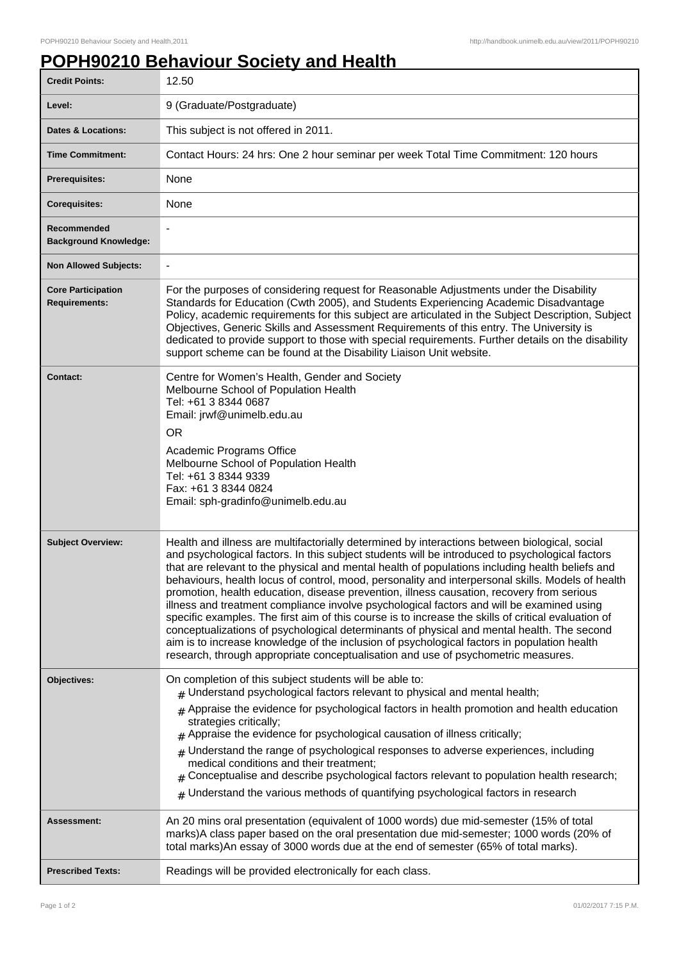## **POPH90210 Behaviour Society and Health**

| <b>Credit Points:</b>                             | 12.50                                                                                                                                                                                                                                                                                                                                                                                                                                                                                                                                                                                                                                                                                                                                                                                                                                                                                                                                                                                       |
|---------------------------------------------------|---------------------------------------------------------------------------------------------------------------------------------------------------------------------------------------------------------------------------------------------------------------------------------------------------------------------------------------------------------------------------------------------------------------------------------------------------------------------------------------------------------------------------------------------------------------------------------------------------------------------------------------------------------------------------------------------------------------------------------------------------------------------------------------------------------------------------------------------------------------------------------------------------------------------------------------------------------------------------------------------|
| Level:                                            | 9 (Graduate/Postgraduate)                                                                                                                                                                                                                                                                                                                                                                                                                                                                                                                                                                                                                                                                                                                                                                                                                                                                                                                                                                   |
| Dates & Locations:                                | This subject is not offered in 2011.                                                                                                                                                                                                                                                                                                                                                                                                                                                                                                                                                                                                                                                                                                                                                                                                                                                                                                                                                        |
| <b>Time Commitment:</b>                           | Contact Hours: 24 hrs: One 2 hour seminar per week Total Time Commitment: 120 hours                                                                                                                                                                                                                                                                                                                                                                                                                                                                                                                                                                                                                                                                                                                                                                                                                                                                                                         |
| <b>Prerequisites:</b>                             | None                                                                                                                                                                                                                                                                                                                                                                                                                                                                                                                                                                                                                                                                                                                                                                                                                                                                                                                                                                                        |
| <b>Corequisites:</b>                              | None                                                                                                                                                                                                                                                                                                                                                                                                                                                                                                                                                                                                                                                                                                                                                                                                                                                                                                                                                                                        |
| Recommended<br><b>Background Knowledge:</b>       |                                                                                                                                                                                                                                                                                                                                                                                                                                                                                                                                                                                                                                                                                                                                                                                                                                                                                                                                                                                             |
| <b>Non Allowed Subjects:</b>                      | $\overline{\phantom{0}}$                                                                                                                                                                                                                                                                                                                                                                                                                                                                                                                                                                                                                                                                                                                                                                                                                                                                                                                                                                    |
| <b>Core Participation</b><br><b>Requirements:</b> | For the purposes of considering request for Reasonable Adjustments under the Disability<br>Standards for Education (Cwth 2005), and Students Experiencing Academic Disadvantage<br>Policy, academic requirements for this subject are articulated in the Subject Description, Subject<br>Objectives, Generic Skills and Assessment Requirements of this entry. The University is<br>dedicated to provide support to those with special requirements. Further details on the disability<br>support scheme can be found at the Disability Liaison Unit website.                                                                                                                                                                                                                                                                                                                                                                                                                               |
| <b>Contact:</b>                                   | Centre for Women's Health, Gender and Society<br>Melbourne School of Population Health<br>Tel: +61 3 8344 0687<br>Email: jrwf@unimelb.edu.au<br><b>OR</b><br>Academic Programs Office<br>Melbourne School of Population Health<br>Tel: +61 3 8344 9339<br>Fax: +61 3 8344 0824<br>Email: sph-gradinfo@unimelb.edu.au                                                                                                                                                                                                                                                                                                                                                                                                                                                                                                                                                                                                                                                                        |
| <b>Subject Overview:</b>                          | Health and illness are multifactorially determined by interactions between biological, social<br>and psychological factors. In this subject students will be introduced to psychological factors<br>that are relevant to the physical and mental health of populations including health beliefs and<br>behaviours, health locus of control, mood, personality and interpersonal skills. Models of health<br>promotion, health education, disease prevention, illness causation, recovery from serious<br>illness and treatment compliance involve psychological factors and will be examined using<br>specific examples. The first aim of this course is to increase the skills of critical evaluation of<br>conceptualizations of psychological determinants of physical and mental health. The second<br>aim is to increase knowledge of the inclusion of psychological factors in population health<br>research, through appropriate conceptualisation and use of psychometric measures. |
| Objectives:                                       | On completion of this subject students will be able to:<br>$#$ Understand psychological factors relevant to physical and mental health;<br>$#$ Appraise the evidence for psychological factors in health promotion and health education<br>strategies critically;<br>$#$ Appraise the evidence for psychological causation of illness critically;<br>$#$ Understand the range of psychological responses to adverse experiences, including<br>medical conditions and their treatment;<br>Conceptualise and describe psychological factors relevant to population health research;<br>$#$ Understand the various methods of quantifying psychological factors in research                                                                                                                                                                                                                                                                                                                    |
| Assessment:                                       | An 20 mins oral presentation (equivalent of 1000 words) due mid-semester (15% of total<br>marks)A class paper based on the oral presentation due mid-semester; 1000 words (20% of<br>total marks)An essay of 3000 words due at the end of semester (65% of total marks).                                                                                                                                                                                                                                                                                                                                                                                                                                                                                                                                                                                                                                                                                                                    |
| <b>Prescribed Texts:</b>                          | Readings will be provided electronically for each class.                                                                                                                                                                                                                                                                                                                                                                                                                                                                                                                                                                                                                                                                                                                                                                                                                                                                                                                                    |